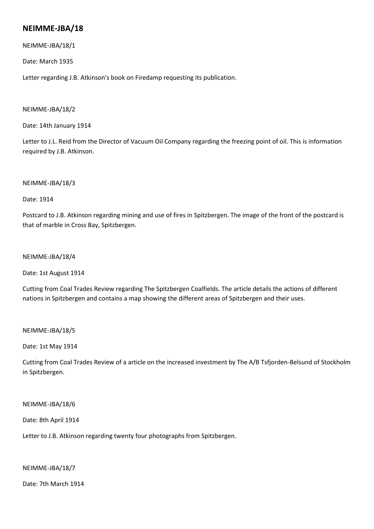# **NEIMME-JBA/18**

NEIMME-JBA/18/1

Date: March 1935

Letter regarding J.B. Atkinson's book on Firedamp requesting its publication.

### NEIMME-JBA/18/2

Date: 14th January 1914

Letter to J.L. Reid from the Director of Vacuum Oil Company regarding the freezing point of oil. This is information required by J.B. Atkinson.

# NEIMME-JBA/18/3

Date: 1914

Postcard to J.B. Atkinson regarding mining and use of fires in Spitzbergen. The image of the front of the postcard is that of marble in Cross Bay, Spitzbergen.

### NEIMME-JBA/18/4

Date: 1st August 1914

Cutting from Coal Trades Review regarding The Spitzbergen Coalfields. The article details the actions of different nations in Spitzbergen and contains a map showing the different areas of Spitzbergen and their uses.

### NEIMME-JBA/18/5

Date: 1st May 1914

Cutting from Coal Trades Review of a article on the increased investment by The A/B Tsfjorden-Belsund of Stockholm in Spitzbergen.

### NEIMME-JBA/18/6

Date: 8th April 1914

Letter to J.B. Atkinson regarding twenty four photographs from Spitzbergen.

# NEIMME-JBA/18/7

Date: 7th March 1914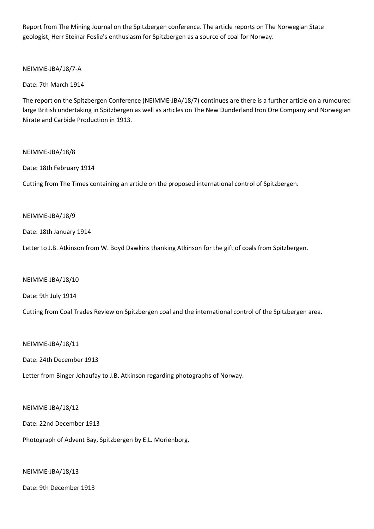Report from The Mining Journal on the Spitzbergen conference. The article reports on The Norwegian State geologist, Herr Steinar Foslie's enthusiasm for Spitzbergen as a source of coal for Norway.

NEIMME-JBA/18/7-A

Date: 7th March 1914

The report on the Spitzbergen Conference (NEIMME-JBA/18/7) continues are there is a further article on a rumoured large British undertaking in Spitzbergen as well as articles on The New Dunderland Iron Ore Company and Norwegian Nirate and Carbide Production in 1913.

# NEIMME-JBA/18/8

Date: 18th February 1914

Cutting from The Times containing an article on the proposed international control of Spitzbergen.

### NEIMME-JBA/18/9

Date: 18th January 1914

Letter to J.B. Atkinson from W. Boyd Dawkins thanking Atkinson for the gift of coals from Spitzbergen.

NEIMME-JBA/18/10

Date: 9th July 1914

Cutting from Coal Trades Review on Spitzbergen coal and the international control of the Spitzbergen area.

NEIMME-JBA/18/11

Date: 24th December 1913

Letter from Binger Johaufay to J.B. Atkinson regarding photographs of Norway.

### NEIMME-JBA/18/12

Date: 22nd December 1913

Photograph of Advent Bay, Spitzbergen by E.L. Morienborg.

### NEIMME-JBA/18/13

Date: 9th December 1913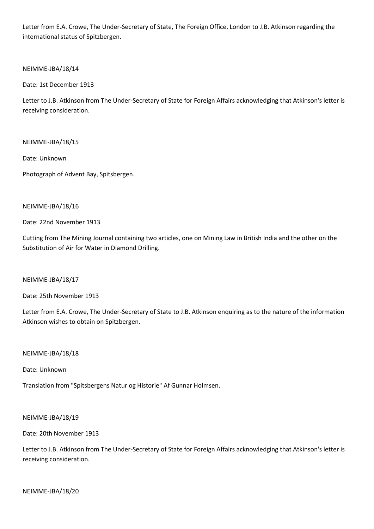Letter from E.A. Crowe, The Under-Secretary of State, The Foreign Office, London to J.B. Atkinson regarding the international status of Spitzbergen.

NEIMME-JBA/18/14

Date: 1st December 1913

Letter to J.B. Atkinson from The Under-Secretary of State for Foreign Affairs acknowledging that Atkinson's letter is receiving consideration.

NEIMME-JBA/18/15

Date: Unknown

Photograph of Advent Bay, Spitsbergen.

### NEIMME-JBA/18/16

Date: 22nd November 1913

Cutting from The Mining Journal containing two articles, one on Mining Law in British India and the other on the Substitution of Air for Water in Diamond Drilling.

NEIMME-JBA/18/17

Date: 25th November 1913

Letter from E.A. Crowe, The Under-Secretary of State to J.B. Atkinson enquiring as to the nature of the information Atkinson wishes to obtain on Spitzbergen.

NEIMME-JBA/18/18

Date: Unknown

Translation from "Spitsbergens Natur og Historie" Af Gunnar Holmsen.

NEIMME-JBA/18/19

Date: 20th November 1913

Letter to J.B. Atkinson from The Under-Secretary of State for Foreign Affairs acknowledging that Atkinson's letter is receiving consideration.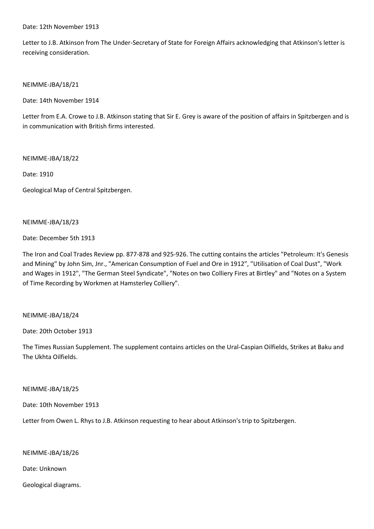Date: 12th November 1913

Letter to J.B. Atkinson from The Under-Secretary of State for Foreign Affairs acknowledging that Atkinson's letter is receiving consideration.

NEIMME-JBA/18/21

Date: 14th November 1914

Letter from E.A. Crowe to J.B. Atkinson stating that Sir E. Grey is aware of the position of affairs in Spitzbergen and is in communication with British firms interested.

NEIMME-JBA/18/22

Date: 1910

Geological Map of Central Spitzbergen.

NEIMME-JBA/18/23

Date: December 5th 1913

The Iron and Coal Trades Review pp. 877-878 and 925-926. The cutting contains the articles "Petroleum: It's Genesis and Mining" by John Sim, Jnr., "American Consumption of Fuel and Ore in 1912", "Utilisation of Coal Dust", "Work and Wages in 1912", "The German Steel Syndicate", "Notes on two Colliery Fires at Birtley" and "Notes on a System of Time Recording by Workmen at Hamsterley Colliery".

### NEIMME-JBA/18/24

Date: 20th October 1913

The Times Russian Supplement. The supplement contains articles on the Ural-Caspian Oilfields, Strikes at Baku and The Ukhta Oilfields.

NEIMME-JBA/18/25

Date: 10th November 1913

Letter from Owen L. Rhys to J.B. Atkinson requesting to hear about Atkinson's trip to Spitzbergen.

NEIMME-JBA/18/26

Date: Unknown

Geological diagrams.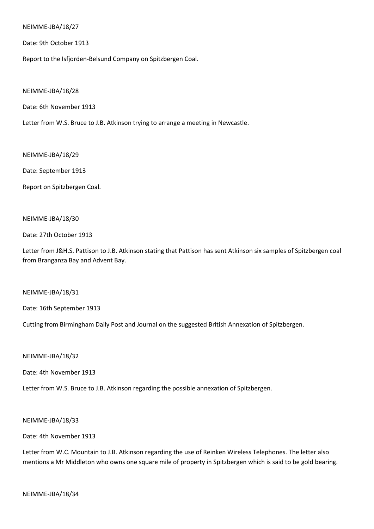#### NEIMME-JBA/18/27

Date: 9th October 1913

Report to the Isfjorden-Belsund Company on Spitzbergen Coal.

NEIMME-JBA/18/28

Date: 6th November 1913

Letter from W.S. Bruce to J.B. Atkinson trying to arrange a meeting in Newcastle.

NEIMME-JBA/18/29

Date: September 1913

Report on Spitzbergen Coal.

### NEIMME-JBA/18/30

Date: 27th October 1913

Letter from J&H.S. Pattison to J.B. Atkinson stating that Pattison has sent Atkinson six samples of Spitzbergen coal from Branganza Bay and Advent Bay.

NEIMME-JBA/18/31

Date: 16th September 1913

Cutting from Birmingham Daily Post and Journal on the suggested British Annexation of Spitzbergen.

NEIMME-JBA/18/32

Date: 4th November 1913

Letter from W.S. Bruce to J.B. Atkinson regarding the possible annexation of Spitzbergen.

NEIMME-JBA/18/33

Date: 4th November 1913

Letter from W.C. Mountain to J.B. Atkinson regarding the use of Reinken Wireless Telephones. The letter also mentions a Mr Middleton who owns one square mile of property in Spitzbergen which is said to be gold bearing.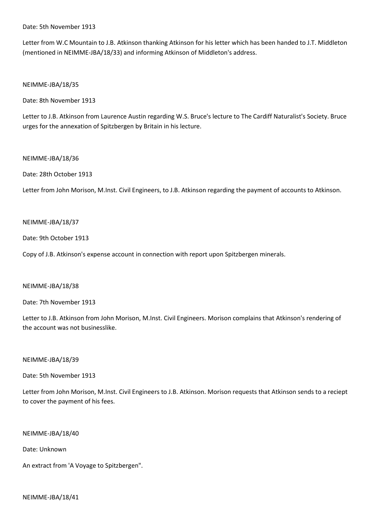Date: 5th November 1913

Letter from W.C Mountain to J.B. Atkinson thanking Atkinson for his letter which has been handed to J.T. Middleton (mentioned in NEIMME-JBA/18/33) and informing Atkinson of Middleton's address.

NEIMME-JBA/18/35

Date: 8th November 1913

Letter to J.B. Atkinson from Laurence Austin regarding W.S. Bruce's lecture to The Cardiff Naturalist's Society. Bruce urges for the annexation of Spitzbergen by Britain in his lecture.

#### NEIMME-JBA/18/36

Date: 28th October 1913

Letter from John Morison, M.Inst. Civil Engineers, to J.B. Atkinson regarding the payment of accounts to Atkinson.

# NEIMME-JBA/18/37

Date: 9th October 1913

Copy of J.B. Atkinson's expense account in connection with report upon Spitzbergen minerals.

### NEIMME-JBA/18/38

Date: 7th November 1913

Letter to J.B. Atkinson from John Morison, M.Inst. Civil Engineers. Morison complains that Atkinson's rendering of the account was not businesslike.

#### NEIMME-JBA/18/39

Date: 5th November 1913

Letter from John Morison, M.Inst. Civil Engineers to J.B. Atkinson. Morison requests that Atkinson sends to a reciept to cover the payment of his fees.

NEIMME-JBA/18/40

Date: Unknown

An extract from 'A Voyage to Spitzbergen".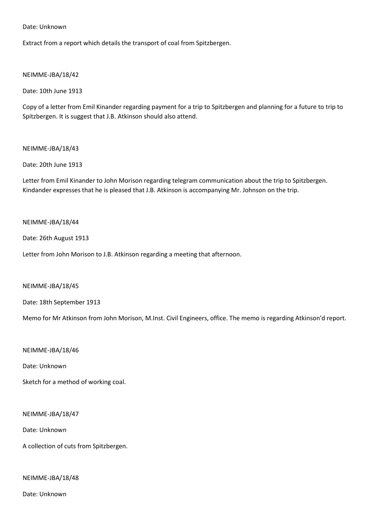Date: Unknown

Extract from a report which details the transport of coal from Spitzbergen.

### NEIMME-JBA/18/42

Date: 10th June 1913

Copy of a letter from Emil Kinander regarding payment for a trip to Spitzbergen and planning for a future to trip to Spitzbergen. It is suggest that J.B. Atkinson should also attend.

### NEIMME-JBA/18/43

### Date: 20th June 1913

Letter from Emil Kinander to John Morison regarding telegram communication about the trip to Spitzbergen. Kindander expresses that he is pleased that J.B. Atkinson is accompanying Mr. Johnson on the trip.

### NEIMME-JBA/18/44

Date: 26th August 1913

Letter from John Morison to J.B. Atkinson regarding a meeting that afternoon.

### NEIMME-JBA/18/45

Date: 18th September 1913

Memo for Mr Atkinson from John Morison, M.Inst. Civil Engineers, office. The memo is regarding Atkinson'd report.

NEIMME-JBA/18/46

Date: Unknown

Sketch for a method of working coal.

NEIMME-JBA/18/47

Date: Unknown

A collection of cuts from Spitzbergen.

NEIMME-JBA/18/48

Date: Unknown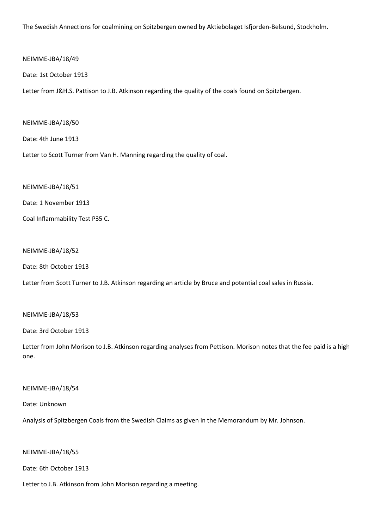The Swedish Annections for coalmining on Spitzbergen owned by Aktiebolaget Isfjorden-Belsund, Stockholm.

### NEIMME-JBA/18/49

### Date: 1st October 1913

Letter from J&H.S. Pattison to J.B. Atkinson regarding the quality of the coals found on Spitzbergen.

#### NEIMME-JBA/18/50

Date: 4th June 1913

Letter to Scott Turner from Van H. Manning regarding the quality of coal.

#### NEIMME-JBA/18/51

Date: 1 November 1913

Coal Inflammability Test P35 C.

# NEIMME-JBA/18/52

Date: 8th October 1913

Letter from Scott Turner to J.B. Atkinson regarding an article by Bruce and potential coal sales in Russia.

### NEIMME-JBA/18/53

Date: 3rd October 1913

Letter from John Morison to J.B. Atkinson regarding analyses from Pettison. Morison notes that the fee paid is a high one.

### NEIMME-JBA/18/54

Date: Unknown

Analysis of Spitzbergen Coals from the Swedish Claims as given in the Memorandum by Mr. Johnson.

NEIMME-JBA/18/55

Date: 6th October 1913

Letter to J.B. Atkinson from John Morison regarding a meeting.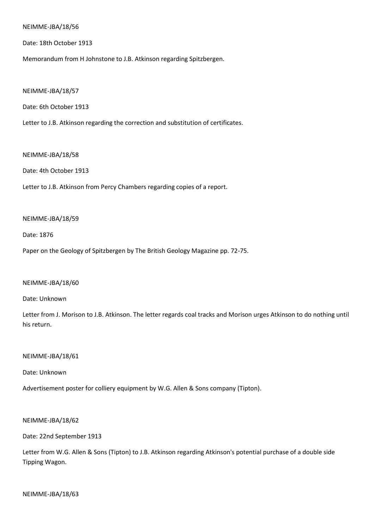#### NEIMME-JBA/18/56

Date: 18th October 1913

Memorandum from H Johnstone to J.B. Atkinson regarding Spitzbergen.

NEIMME-JBA/18/57

Date: 6th October 1913

Letter to J.B. Atkinson regarding the correction and substitution of certificates.

#### NEIMME-JBA/18/58

Date: 4th October 1913

Letter to J.B. Atkinson from Percy Chambers regarding copies of a report.

#### NEIMME-JBA/18/59

Date: 1876

Paper on the Geology of Spitzbergen by The British Geology Magazine pp. 72-75.

#### NEIMME-JBA/18/60

Date: Unknown

Letter from J. Morison to J.B. Atkinson. The letter regards coal tracks and Morison urges Atkinson to do nothing until his return.

#### NEIMME-JBA/18/61

Date: Unknown

Advertisement poster for colliery equipment by W.G. Allen & Sons company (Tipton).

NEIMME-JBA/18/62

Date: 22nd September 1913

Letter from W.G. Allen & Sons (Tipton) to J.B. Atkinson regarding Atkinson's potential purchase of a double side Tipping Wagon.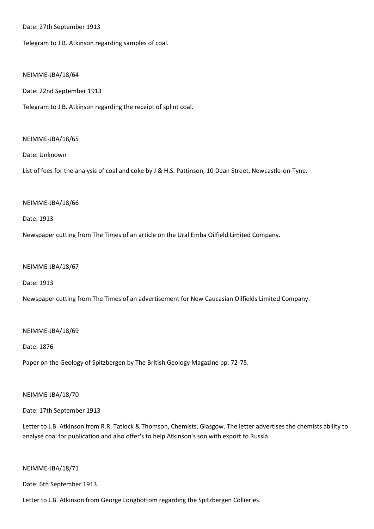Date: 27th September 1913

Telegram to J.B. Atkinson regarding samples of coal.

#### NEIMME-JBA/18/64

Date: 22nd September 1913

Telegram to J.B. Atkinson regarding the receipt of splint coal.

#### NEIMME-JBA/18/65

Date: Unknown

List of fees for the analysis of coal and coke by J & H.S. Pattinson, 10 Dean Street, Newcastle-on-Tyne.

#### NEIMME-JBA/18/66

Date: 1913

Newspaper cutting from The Times of an article on the Ural Emba Oilfield Limited Company.

#### NEIMME-JBA/18/67

Date: 1913

Newspaper cutting from The Times of an advertisement for New Caucasian Oilfields Limited Company.

#### NEIMME-JBA/18/69

Date: 1876

Paper on the Geology of Spitzbergen by The British Geology Magazine pp. 72-75.

### NEIMME-JBA/18/70

Date: 17th September 1913

Letter to J.B. Atkinson from R.R. Tatlock & Thomson, Chemists, Glasgow. The letter advertises the chemists ability to analyse coal for publication and also offer's to help Atkinson's son with export to Russia.

#### NEIMME-JBA/18/71

Date: 6th September 1913

Letter to J.B. Atkinson from George Longbottom regarding the Spitzbergen Collieries.